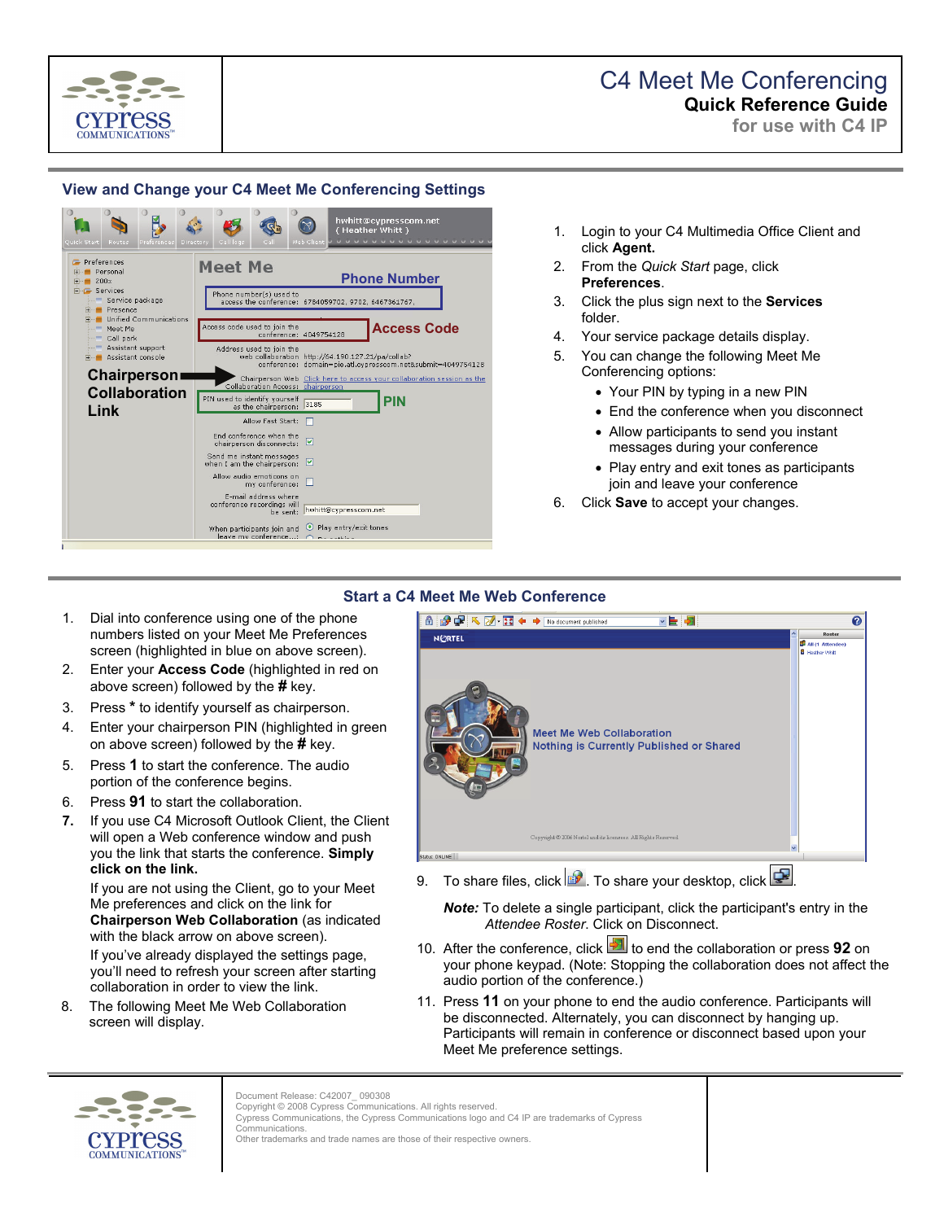

## C4 Meet Me Conferencing **Quick Reference Guide**

**for use with C4 IP**

## **View and Change your C4 Meet Me Conferencing Settings**



- 1. Login to your C4 Multimedia Office Client and click **Agent.**
- 2. From the *Quick Start* page, click **Preferences**.
- 3. Click the plus sign next to the **Services** folder.
- 4. Your service package details display.
- 5. You can change the following Meet Me Conferencing options:
	- Your PIN by typing in a new PIN
	- End the conference when you disconnect
	- Allow participants to send you instant messages during your conference
	- Play entry and exit tones as participants join and leave your conference
- 6. Click **Save** to accept your changes.

### **Start a C4 Meet Me Web Conference**

- 1. Dial into conference using one of the phone numbers listed on your Meet Me Preferences screen (highlighted in blue on above screen).
- 2. Enter your **Access Code** (highlighted in red on above screen) followed by the **#** key.
- 3. Press **\*** to identify yourself as chairperson.
- 4. Enter your chairperson PIN (highlighted in green on above screen) followed by the **#** key.
- 5. Press **1** to start the conference. The audio portion of the conference begins.
- 6. Press **91** to start the collaboration.
- **7.** If you use C4 Microsoft Outlook Client, the Client will open a Web conference window and push you the link that starts the conference. **Simply click on the link.**

If you are not using the Client, go to your Meet Me preferences and click on the link for **Chairperson Web Collaboration** (as indicated with the black arrow on above screen). If you've already displayed the settings page, you'll need to refresh your screen after starting collaboration in order to view the link.

8. The following Meet Me Web Collaboration screen will display.



9. To share files, click  $\mathbb{R}$ . To share your desktop, click  $\mathbb{R}$ 

*Note:* To delete a single participant, click the participant's entry in the *Attendee Roster*. Click on Disconnect.

- 10. After the conference, click **1** to end the collaboration or press **92** on your phone keypad. (Note: Stopping the collaboration does not affect the audio portion of the conference.)
- 11. Press **11** on your phone to end the audio conference. Participants will be disconnected. Alternately, you can disconnect by hanging up. Participants will remain in conference or disconnect based upon your Meet Me preference settings.



Copyright © 2008 Cypress Communications. All rights reserved. Cypress Communications, the Cypress Communications logo and C4 IP are trademarks of Cypress

Document Release: C42007\_ 090308

Communications. Other trademarks and trade names are those of their respective owners.